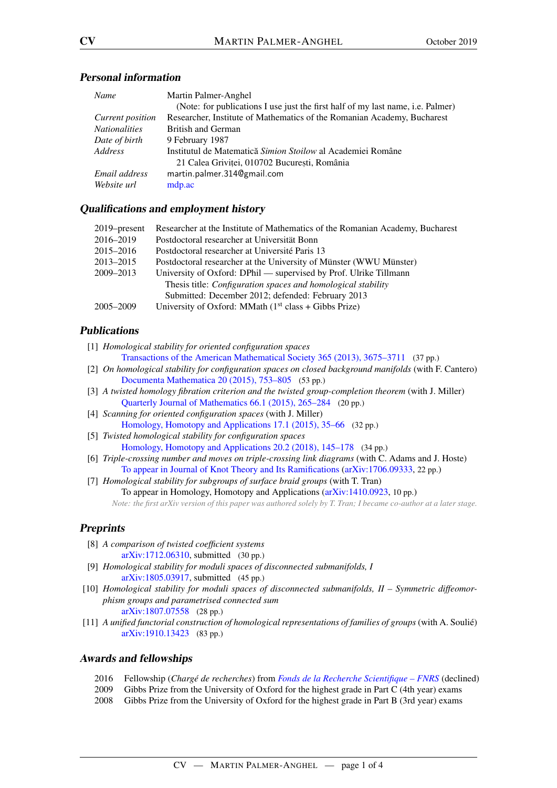| Name                 | Martin Palmer-Anghel                                                            |
|----------------------|---------------------------------------------------------------------------------|
|                      | (Note: for publications I use just the first half of my last name, i.e. Palmer) |
| Current position     | Researcher, Institute of Mathematics of the Romanian Academy, Bucharest         |
| <i>Nationalities</i> | <b>British and German</b>                                                       |
| Date of birth        | 9 February 1987                                                                 |
| Address              | Institutul de Matematică Simion Stoilow al Academiei Române                     |
|                      | 21 Calea Grivitei, 010702 Bucuresti, România                                    |
| Email address        | martin.palmer.314@gmail.com                                                     |
| Website url          | mdp.ac                                                                          |
|                      |                                                                                 |

### Personal information

## Qualifications and employment history

| $2019$ -present | Researcher at the Institute of Mathematics of the Romanian Academy, Bucharest |
|-----------------|-------------------------------------------------------------------------------|
| 2016–2019       | Postdoctoral researcher at Universität Bonn                                   |
| 2015–2016       | Postdoctoral researcher at Université Paris 13                                |
| 2013-2015       | Postdoctoral researcher at the University of Münster (WWU Münster)            |
| 2009-2013       | University of Oxford: DPhil — supervised by Prof. Ulrike Tillmann             |
|                 | Thesis title: Configuration spaces and homological stability                  |
|                 | Submitted: December 2012; defended: February 2013                             |
| 2005–2009       | University of Oxford: MMath $(1st class + Gibbs Prize)$                       |
|                 |                                                                               |

# **Publications**

- [1] *Homological stability for oriented configuration spaces* [Transactions of the American Mathematical Society 365 \(2013\), 3675–3711](http://dx.doi.org/10.1090/S0002-9947-2012-05743-6) (37 pp.)
- [2] *On homological stability for configuration spaces on closed background manifolds* (with F. Cantero) [Documenta Mathematica 20 \(2015\), 753–805](https://www.math.uni-bielefeld.de/documenta/vol-20/22.html) (53 pp.)
- [3] *A twisted homology fibration criterion and the twisted group-completion theorem* (with J. Miller) [Quarterly Journal of Mathematics 66.1 \(2015\), 265–284](http://dx.doi.org/10.1093/qmath/hau030) (20 pp.)
- [4] *Scanning for oriented configuration spaces* (with J. Miller) [Homology, Homotopy and Applications 17.1 \(2015\), 35–66](http://dx.doi.org/10.4310/HHA.2015.v17.n1.a2) (32 pp.)
- [5] *Twisted homological stability for configuration spaces*

[Homology, Homotopy and Applications 20.2 \(2018\), 145–178](http://dx.doi.org/10.4310/HHA.2018.v20.n2.a8) (34 pp.)

- [6] *Triple-crossing number and moves on triple-crossing link diagrams* (with C. Adams and J. Hoste) [To appear in Journal of Knot Theory and Its Ramifications](https://www.worldscientific.com/doi/10.1142/S0218216519400017) [\(arXiv:1706.09333,](http://arxiv.org/abs/1706.09333) 22 pp.)
- [7] *Homological stability for subgroups of surface braid groups* (with T. Tran) To appear in Homology, Homotopy and Applications [\(arXiv:1410.0923,](http://arxiv.org/abs/1410.0923) 10 pp.) *Note: the first arXiv version of this paper was authored solely by T. Tran; I became co-author at a later stage.*

# **Preprints**

- [8] *A comparison of twisted coefficient systems* [arXiv:1712.06310,](http://arxiv.org/abs/1712.06310) submitted (30 pp.)
- [9] *Homological stability for moduli spaces of disconnected submanifolds, I* [arXiv:1805.03917,](http://arxiv.org/abs/1805.03917) submitted (45 pp.)
- [10] *Homological stability for moduli spaces of disconnected submanifolds, II Symmetric diffeomorphism groups and parametrised connected sum* [arXiv:1807.07558](http://arxiv.org/abs/1807.07558) (28 pp.)
- [11] *A unified functorial construction of homological representations of families of groups* (with A. Soulié) [arXiv:1910.13423](http://arxiv.org/abs/1910.13423) (83 pp.)

### Awards and fellowships

- 2016 Fellowship (*Chargé de recherches*) from *[Fonds de la Recherche Scientifique FNRS](https://www.frs-fnrs.be)* (declined)
- 2009 Gibbs Prize from the University of Oxford for the highest grade in Part C (4th year) exams
- 2008 Gibbs Prize from the University of Oxford for the highest grade in Part B (3rd year) exams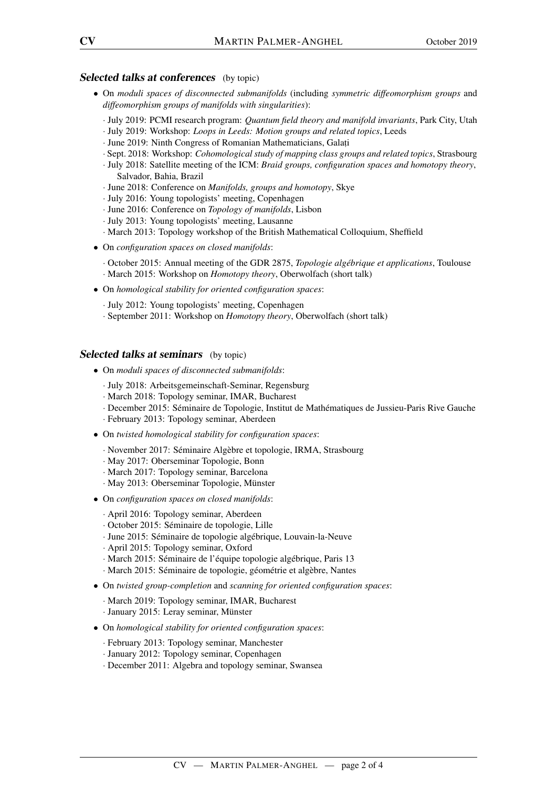#### Selected talks at conferences (by topic)

- On *moduli spaces of disconnected submanifolds* (including *symmetric diffeomorphism groups* and *diffeomorphism groups of manifolds with singularities*):
	- · July 2019: PCMI research program: *Quantum field theory and manifold invariants*, Park City, Utah
	- · July 2019: Workshop: *Loops in Leeds: Motion groups and related topics*, Leeds
	- · June 2019: Ninth Congress of Romanian Mathematicians, Galat, i
	- · Sept. 2018: Workshop: *Cohomological study of mapping class groups and related topics*, Strasbourg
	- · July 2018: Satellite meeting of the ICM: *Braid groups, configuration spaces and homotopy theory*, Salvador, Bahia, Brazil
	- · June 2018: Conference on *Manifolds, groups and homotopy*, Skye
	- · July 2016: Young topologists' meeting, Copenhagen
	- · June 2016: Conference on *Topology of manifolds*, Lisbon
	- · July 2013: Young topologists' meeting, Lausanne
	- · March 2013: Topology workshop of the British Mathematical Colloquium, Sheffield
- On *configuration spaces on closed manifolds*:
	- · October 2015: Annual meeting of the GDR 2875, *Topologie algébrique et applications*, Toulouse · March 2015: Workshop on *Homotopy theory*, Oberwolfach (short talk)
- On *homological stability for oriented configuration spaces*:
	- · July 2012: Young topologists' meeting, Copenhagen
	- · September 2011: Workshop on *Homotopy theory*, Oberwolfach (short talk)

#### Selected talks at seminars (by topic)

- On *moduli spaces of disconnected submanifolds*:
	- · July 2018: Arbeitsgemeinschaft-Seminar, Regensburg
	- · March 2018: Topology seminar, IMAR, Bucharest
	- · December 2015: Séminaire de Topologie, Institut de Mathématiques de Jussieu-Paris Rive Gauche
	- · February 2013: Topology seminar, Aberdeen
- On *twisted homological stability for configuration spaces*:
	- · November 2017: Séminaire Algèbre et topologie, IRMA, Strasbourg
	- · May 2017: Oberseminar Topologie, Bonn
	- · March 2017: Topology seminar, Barcelona
	- · May 2013: Oberseminar Topologie, Münster
- On *configuration spaces on closed manifolds*:
	- · April 2016: Topology seminar, Aberdeen
	- · October 2015: Séminaire de topologie, Lille
	- · June 2015: Séminaire de topologie algébrique, Louvain-la-Neuve
	- · April 2015: Topology seminar, Oxford
	- · March 2015: Séminaire de l'équipe topologie algébrique, Paris 13
	- · March 2015: Séminaire de topologie, géométrie et algèbre, Nantes
- On *twisted group-completion* and *scanning for oriented configuration spaces*:
	- · March 2019: Topology seminar, IMAR, Bucharest
	- · January 2015: Leray seminar, Münster
- On *homological stability for oriented configuration spaces*:
	- · February 2013: Topology seminar, Manchester
	- · January 2012: Topology seminar, Copenhagen
	- · December 2011: Algebra and topology seminar, Swansea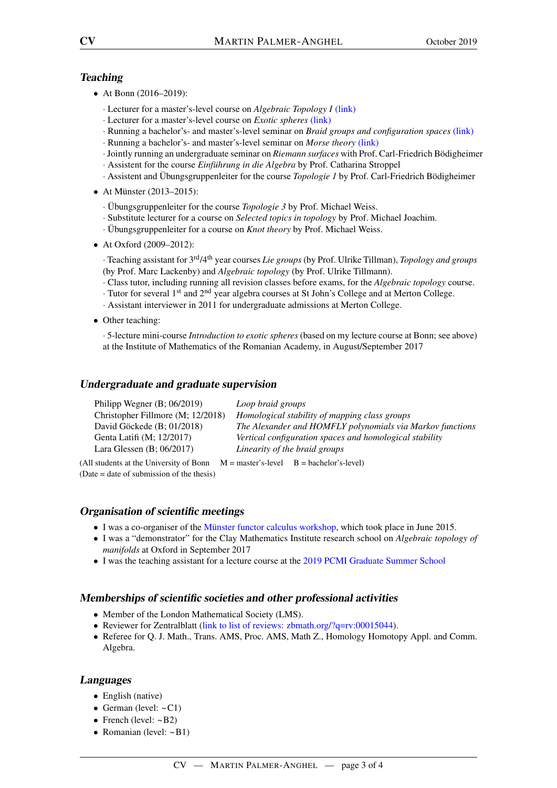## **Teaching**

- At Bonn (2016–2019):
	- · Lecturer for a master's-level course on *Algebraic Topology I* [\(link\)](https://mdp.ac/teaching/18-algebraic-topology.html)
	- · Lecturer for a master's-level course on *Exotic spheres* [\(link\)](https://mdp.ac/teaching/17-exotic-spheres.html)
	- · Running a bachelor's- and master's-level seminar on *Braid groups and configuration spaces* [\(link\)](https://mdp.ac/teaching/19-braids-configurations.html)
	- · Running a bachelor's- and master's-level seminar on *Morse theory* [\(link\)](https://mdp.ac/teaching/18-Morse-theory.html)
	- ·Jointly running an undergraduate seminar on *Riemann surfaces* with Prof. Carl-Friedrich Bödigheimer
	- · Assistent for the course *Einführung in die Algebra* by Prof. Catharina Stroppel
	- · Assistent and Übungsgruppenleiter for the course *Topologie 1* by Prof. Carl-Friedrich Bödigheimer
- At Münster (2013–2015):
	- · Übungsgruppenleiter for the course *Topologie 3* by Prof. Michael Weiss.
	- · Substitute lecturer for a course on *Selected topics in topology* by Prof. Michael Joachim.
	- · Übungsgruppenleiter for a course on *Knot theory* by Prof. Michael Weiss.
- At Oxford (2009–2012):

· Teaching assistant for 3rd/4th year courses *Lie groups*(by Prof. Ulrike Tillman), *Topology and groups* (by Prof. Marc Lackenby) and *Algebraic topology* (by Prof. Ulrike Tillmann).

- · Class tutor, including running all revision classes before exams, for the *Algebraic topology* course.
- · Tutor for several 1st and 2nd year algebra courses at St John's College and at Merton College.
- · Assistant interviewer in 2011 for undergraduate admissions at Merton College.
- Other teaching:

· 5-lecture mini-course *Introduction to exotic spheres* (based on my lecture course at Bonn; see above) at the Institute of Mathematics of the Romanian Academy, in August/September 2017

## Undergraduate and graduate supervision

| Philipp Wegner $(B; 06/2019)$     | Loop braid groups                                                                                                                                                                                                                                                                                        |
|-----------------------------------|----------------------------------------------------------------------------------------------------------------------------------------------------------------------------------------------------------------------------------------------------------------------------------------------------------|
| Christopher Fillmore (M; 12/2018) | Homological stability of mapping class groups                                                                                                                                                                                                                                                            |
| David Göckede $(B: 01/2018)$      | The Alexander and HOMFLY polynomials via Markov functions                                                                                                                                                                                                                                                |
| Genta Latifi (M; 12/2017)         | Vertical configuration spaces and homological stability                                                                                                                                                                                                                                                  |
| Lara Glessen $(B; 06/2017)$       | Linearity of the braid groups                                                                                                                                                                                                                                                                            |
|                                   | $\mathbf{A} = \mathbf{A}$ and $\mathbf{A}$ the $\mathbf{A}$ $\mathbf{B}$ is the $\mathbf{A}$ $\mathbf{B}$ and $\mathbf{A}$ $\mathbf{A}$ and $\mathbf{A}$ and $\mathbf{A}$ and $\mathbf{A}$ and $\mathbf{A}$ and $\mathbf{A}$ and $\mathbf{A}$ and $\mathbf{A}$ and $\mathbf{A}$ and $\mathbf{A}$ and $\$ |

(All students at the University of Bonn  $M =$  master's-level  $B =$  bachelor's-level) (Date = date of submission of the thesis)

# Organisation of scientific meetings

- I was a co-organiser of the [Münster functor calculus workshop,](https://sites.google.com/site/2015muenstercalculus/) which took place in June 2015.
- I was a "demonstrator" for the Clay Mathematics Institute research school on *Algebraic topology of manifolds* at Oxford in September 2017
- I was the teaching assistant for a lecture course at the [2019 PCMI Graduate Summer School](https://www.ias.edu/pcmi/gss2019)

# Memberships of scientific societies and other professional activities

- Member of the London Mathematical Society (LMS).
- Reviewer for Zentralblatt [\(link to list of reviews: zbmath.org/?q=rv:00015044\)](https://zbmath.org/?q=rv:00015044).
- Referee for Q. J. Math., Trans. AMS, Proc. AMS, Math Z., Homology Homotopy Appl. and Comm. Algebra.

# Languages

- English (native)
- German (level:  $\neg$ C1)
- French (level:  $~\sim$ B2)
- Romanian (level:  $\sim$ B1)